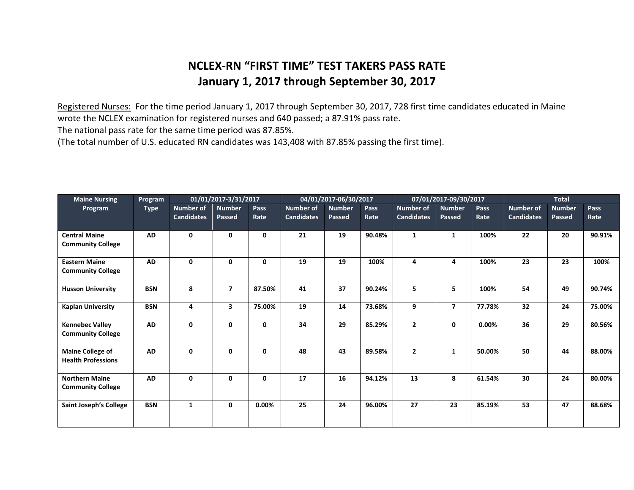## **NCLEX-RN "FIRST TIME" TEST TAKERS PASS RATE January 1, 2017 through September 30, 2017**

Registered Nurses: For the time period January 1, 2017 through September 30, 2017, 728 first time candidates educated in Maine wrote the NCLEX examination for registered nurses and 640 passed; a 87.91% pass rate.

The national pass rate for the same time period was 87.85%.

(The total number of U.S. educated RN candidates was 143,408 with 87.85% passing the first time).

| <b>Maine Nursing</b><br>Program                      | Program<br><b>Type</b> | 01/01/2017-3/31/2017                  |                         |              | 04/01/2017-06/30/2017          |                                |              | 07/01/2017-09/30/2017          |                                |              | <b>Total</b>                          |                         |                     |
|------------------------------------------------------|------------------------|---------------------------------------|-------------------------|--------------|--------------------------------|--------------------------------|--------------|--------------------------------|--------------------------------|--------------|---------------------------------------|-------------------------|---------------------|
|                                                      |                        | <b>Number of</b><br><b>Candidates</b> | <b>Number</b><br>Passed | Pass<br>Rate | Number of<br><b>Candidates</b> | <b>Number</b><br><b>Passed</b> | Pass<br>Rate | Number of<br><b>Candidates</b> | <b>Number</b><br><b>Passed</b> | Pass<br>Rate | <b>Number of</b><br><b>Candidates</b> | <b>Number</b><br>Passed | <b>Pass</b><br>Rate |
| <b>Central Maine</b><br><b>Community College</b>     | <b>AD</b>              | $\mathbf{0}$                          | 0                       | 0            | 21                             | 19                             | 90.48%       | $\mathbf{1}$                   | 1                              | 100%         | 22                                    | 20                      | 90.91%              |
| <b>Eastern Maine</b><br><b>Community College</b>     | <b>AD</b>              | $\mathbf{0}$                          | 0                       | 0            | 19                             | 19                             | 100%         | 4                              | 4                              | 100%         | 23                                    | 23                      | 100%                |
| <b>Husson University</b>                             | <b>BSN</b>             | 8                                     | $\overline{7}$          | 87.50%       | 41                             | 37                             | 90.24%       | 5                              | 5                              | 100%         | 54                                    | 49                      | 90.74%              |
| <b>Kaplan University</b>                             | <b>BSN</b>             | 4                                     | 3                       | 75.00%       | 19                             | 14                             | 73.68%       | 9                              | $\overline{7}$                 | 77.78%       | 32                                    | 24                      | 75.00%              |
| <b>Kennebec Valley</b><br><b>Community College</b>   | AD                     | $\mathbf{0}$                          | 0                       | 0            | 34                             | 29                             | 85.29%       | $\overline{2}$                 | 0                              | $0.00\%$     | 36                                    | 29                      | 80.56%              |
| <b>Maine College of</b><br><b>Health Professions</b> | AD                     | $\mathbf{0}$                          | 0                       | 0            | 48                             | 43                             | 89.58%       | $\overline{2}$                 | 1                              | 50.00%       | 50                                    | 44                      | 88.00%              |
| <b>Northern Maine</b><br><b>Community College</b>    | AD                     | $\mathbf{0}$                          | 0                       | $\mathbf{0}$ | 17                             | 16                             | 94.12%       | 13                             | 8                              | 61.54%       | 30                                    | 24                      | 80.00%              |
| Saint Joseph's College                               | <b>BSN</b>             | $\mathbf{1}$                          | 0                       | 0.00%        | 25                             | 24                             | 96.00%       | 27                             | 23                             | 85.19%       | 53                                    | 47                      | 88.68%              |